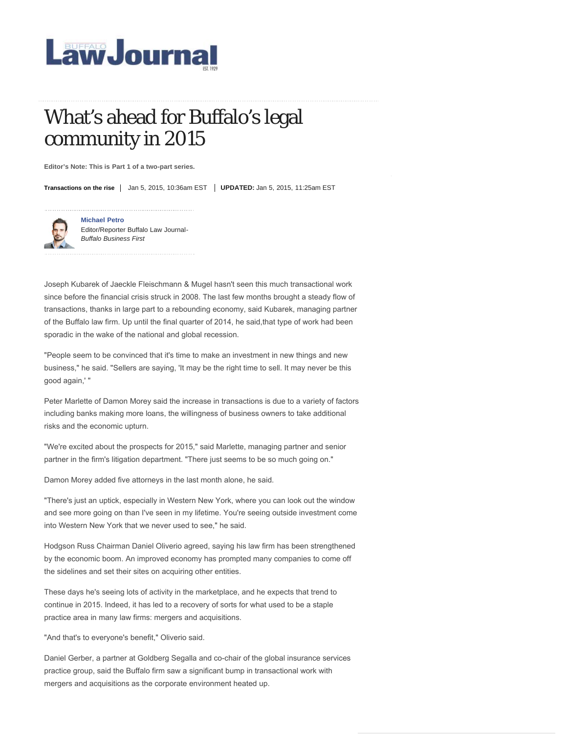

# What's ahead for Buffalo's legal community in 2015

**Editor's Note: This is Part 1 of a two-part series.**

**Transactions on the rise** | Jan 5, 2015, 10:36am EST | **UPDATED:** Jan 5, 2015, 11:25am EST



**Michael Petro** Editor/Reporter Buffalo Law Journal-*Buffalo Business First*

Joseph Kubarek of Jaeckle Fleischmann & Mugel hasn't seen this much transactional work since before the financial crisis struck in 2008. The last few months brought a steady flow of transactions, thanks in large part to a rebounding economy, said Kubarek, managing partner of the Buffalo law firm. Up until the final quarter of 2014, he said,that type of work had been sporadic in the wake of the national and global recession.

"People seem to be convinced that it's time to make an investment in new things and new business," he said. "Sellers are saying, 'It may be the right time to sell. It may never be this good again,' "

Peter Marlette of Damon Morey said the increase in transactions is due to a variety of factors including banks making more loans, the willingness of business owners to take additional risks and the economic upturn.

"We're excited about the prospects for 2015," said Marlette, managing partner and senior partner in the firm's litigation department. "There just seems to be so much going on."

Damon Morey added five attorneys in the last month alone, he said.

"There's just an uptick, especially in Western New York, where you can look out the window and see more going on than I've seen in my lifetime. You're seeing outside investment come into Western New York that we never used to see," he said.

Hodgson Russ Chairman Daniel Oliverio agreed, saying his law firm has been strengthened by the economic boom. An improved economy has prompted many companies to come off the sidelines and set their sites on acquiring other entities.

These days he's seeing lots of activity in the marketplace, and he expects that trend to continue in 2015. Indeed, it has led to a recovery of sorts for what used to be a staple practice area in many law firms: mergers and acquisitions.

"And that's to everyone's benefit," Oliverio said.

Daniel Gerber, a partner at Goldberg Segalla and co-chair of the global insurance services practice group, said the Buffalo firm saw a significant bump in transactional work with mergers and acquisitions as the corporate environment heated up.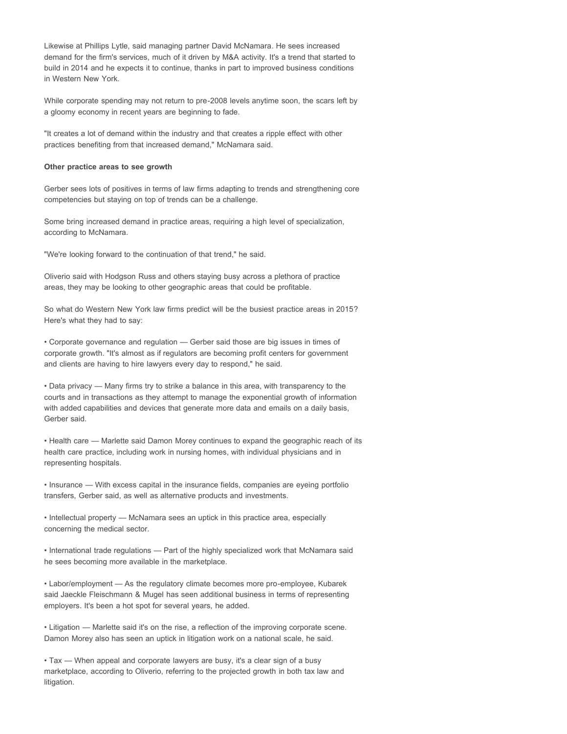Likewise at Phillips Lytle, said managing partner David McNamara. He sees increased demand for the firm's services, much of it driven by M&A activity. It's a trend that started to build in 2014 and he expects it to continue, thanks in part to improved business conditions in Western New York.

While corporate spending may not return to pre-2008 levels anytime soon, the scars left by a gloomy economy in recent years are beginning to fade.

"It creates a lot of demand within the industry and that creates a ripple effect with other practices benefiting from that increased demand," McNamara said.

### **Other practice areas to see growth**

Gerber sees lots of positives in terms of law firms adapting to trends and strengthening core competencies but staying on top of trends can be a challenge.

Some bring increased demand in practice areas, requiring a high level of specialization, according to McNamara.

"We're looking forward to the continuation of that trend," he said.

Oliverio said with Hodgson Russ and others staying busy across a plethora of practice areas, they may be looking to other geographic areas that could be profitable.

So what do Western New York law firms predict will be the busiest practice areas in 2015? Here's what they had to say:

• Corporate governance and regulation — Gerber said those are big issues in times of corporate growth. "It's almost as if regulators are becoming profit centers for government and clients are having to hire lawyers every day to respond," he said.

• Data privacy — Many firms try to strike a balance in this area, with transparency to the courts and in transactions as they attempt to manage the exponential growth of information with added capabilities and devices that generate more data and emails on a daily basis, Gerber said.

• Health care — Marlette said Damon Morey continues to expand the geographic reach of its health care practice, including work in nursing homes, with individual physicians and in representing hospitals.

• Insurance — With excess capital in the insurance fields, companies are eyeing portfolio transfers, Gerber said, as well as alternative products and investments.

• Intellectual property — McNamara sees an uptick in this practice area, especially concerning the medical sector.

• International trade regulations — Part of the highly specialized work that McNamara said he sees becoming more available in the marketplace.

• Labor/employment — As the regulatory climate becomes more pro-employee, Kubarek said Jaeckle Fleischmann & Mugel has seen additional business in terms of representing employers. It's been a hot spot for several years, he added.

• Litigation — Marlette said it's on the rise, a reflection of the improving corporate scene. Damon Morey also has seen an uptick in litigation work on a national scale, he said.

• Tax — When appeal and corporate lawyers are busy, it's a clear sign of a busy marketplace, according to Oliverio, referring to the projected growth in both tax law and litigation.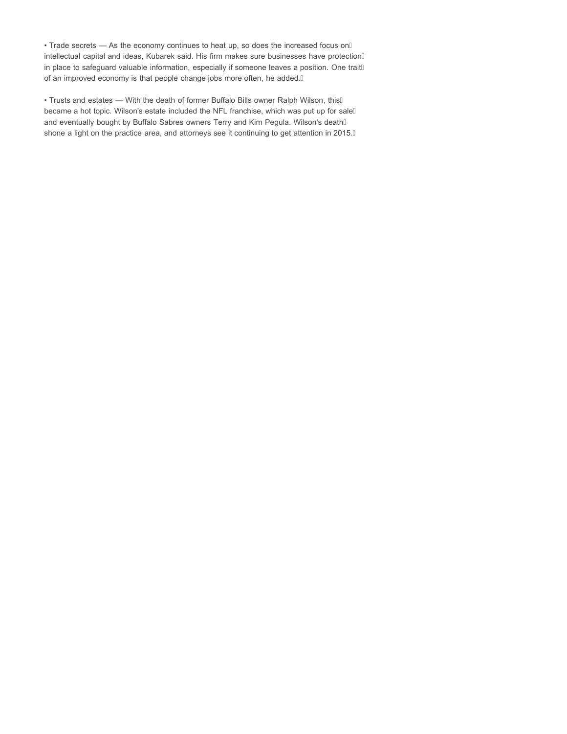• Trade secrets - As the economy continues to heat up, so does the increased focus onÁ intellectual capital and ideas, Kubarek said. His firm makes sure businesses have protection in place to safeguard valuable information, especially if someone leaves a position. One traitÁ of an improved economy is that people change jobs more often, he added. A

• Trusts and estates — With the death of former Buffalo Bills owner Ralph Wilson, thisA became a hot topic. Wilson's estate included the NFL franchise, which was put up for sale and eventually bought by Buffalo Sabres owners Terry and Kim Pegula. Wilson's deathÁ shone a light on the practice area, and attorneys see it continuing to get attention in 2015.A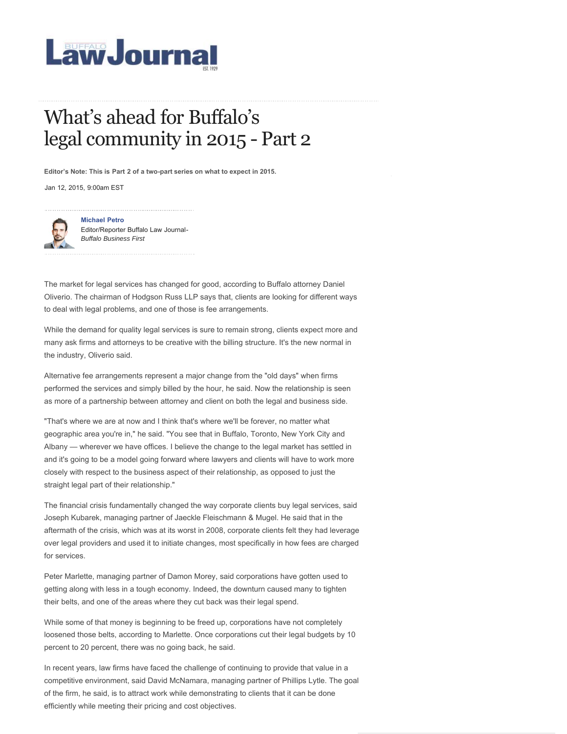

# What's ahead for Buffalo's legal community in 2015 - Part 2

**Editor's Note: This is Part 2 of a two-part series on what to expect in 2015.** 

Jan 12, 2015, 9:00am EST



**Michael Petro** Editor/Reporter Buffalo Law Journal-*Buffalo Business First*

The market for legal services has changed for good, according to Buffalo attorney Daniel Oliverio. The chairman of Hodgson Russ LLP says that, clients are looking for different ways to deal with legal problems, and one of those is fee arrangements.

While the demand for quality legal services is sure to remain strong, clients expect more and many ask firms and attorneys to be creative with the billing structure. It's the new normal in the industry, Oliverio said.

Alternative fee arrangements represent a major change from the "old days" when firms performed the services and simply billed by the hour, he said. Now the relationship is seen as more of a partnership between attorney and client on both the legal and business side.

"That's where we are at now and I think that's where we'll be forever, no matter what geographic area you're in," he said. "You see that in Buffalo, Toronto, New York City and Albany — wherever we have offices. I believe the change to the legal market has settled in and it's going to be a model going forward where lawyers and clients will have to work more closely with respect to the business aspect of their relationship, as opposed to just the straight legal part of their relationship."

The financial crisis fundamentally changed the way corporate clients buy legal services, said Joseph Kubarek, managing partner of Jaeckle Fleischmann & Mugel. He said that in the aftermath of the crisis, which was at its worst in 2008, corporate clients felt they had leverage over legal providers and used it to initiate changes, most specifically in how fees are charged for services.

Peter Marlette, managing partner of Damon Morey, said corporations have gotten used to getting along with less in a tough economy. Indeed, the downturn caused many to tighten their belts, and one of the areas where they cut back was their legal spend.

While some of that money is beginning to be freed up, corporations have not completely loosened those belts, according to Marlette. Once corporations cut their legal budgets by 10 percent to 20 percent, there was no going back, he said.

In recent years, law firms have faced the challenge of continuing to provide that value in a competitive environment, said David McNamara, managing partner of Phillips Lytle. The goal of the firm, he said, is to attract work while demonstrating to clients that it can be done efficiently while meeting their pricing and cost objectives.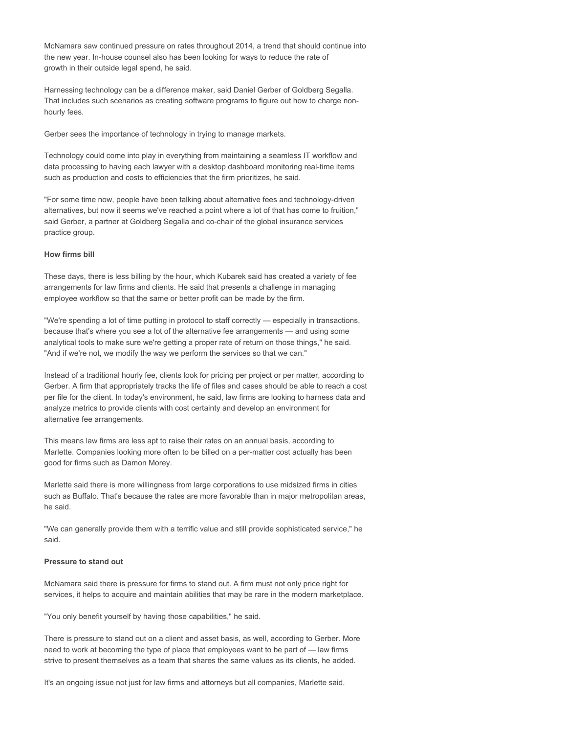McNamara saw continued pressure on rates throughout 2014, a trend that should continue into the new year. In-house counsel also has been looking for ways to reduce the rate of growth in their outside legal spend, he said.

Harnessing technology can be a difference maker, said Daniel Gerber of Goldberg Segalla. That includes such scenarios as creating software programs to figure out how to charge nonhourly fees.

Gerber sees the importance of technology in trying to manage markets.

Technology could come into play in everything from maintaining a seamless IT workflow and data processing to having each lawyer with a desktop dashboard monitoring real-time items such as production and costs to efficiencies that the firm prioritizes, he said.

"For some time now, people have been talking about alternative fees and technology-driven alternatives, but now it seems we've reached a point where a lot of that has come to fruition," said Gerber, a partner at Goldberg Segalla and co-chair of the global insurance services practice group.

#### **How firms bill**

These days, there is less billing by the hour, which Kubarek said has created a variety of fee arrangements for law firms and clients. He said that presents a challenge in managing employee workflow so that the same or better profit can be made by the firm.

"We're spending a lot of time putting in protocol to staff correctly — especially in transactions, because that's where you see a lot of the alternative fee arrangements — and using some analytical tools to make sure we're getting a proper rate of return on those things," he said. "And if we're not, we modify the way we perform the services so that we can."

Instead of a traditional hourly fee, clients look for pricing per project or per matter, according to Gerber. A firm that appropriately tracks the life of files and cases should be able to reach a cost per file for the client. In today's environment, he said, law firms are looking to harness data and analyze metrics to provide clients with cost certainty and develop an environment for alternative fee arrangements.

This means law firms are less apt to raise their rates on an annual basis, according to Marlette. Companies looking more often to be billed on a per-matter cost actually has been good for firms such as Damon Morey.

Marlette said there is more willingness from large corporations to use midsized firms in cities such as Buffalo. That's because the rates are more favorable than in major metropolitan areas, he said.

"We can generally provide them with a terrific value and still provide sophisticated service," he said.

### **Pressure to stand out**

McNamara said there is pressure for firms to stand out. A firm must not only price right for services, it helps to acquire and maintain abilities that may be rare in the modern marketplace.

"You only benefit yourself by having those capabilities," he said.

There is pressure to stand out on a client and asset basis, as well, according to Gerber. More need to work at becoming the type of place that employees want to be part of — law firms strive to present themselves as a team that shares the same values as its clients, he added.

It's an ongoing issue not just for law firms and attorneys but all companies, Marlette said.